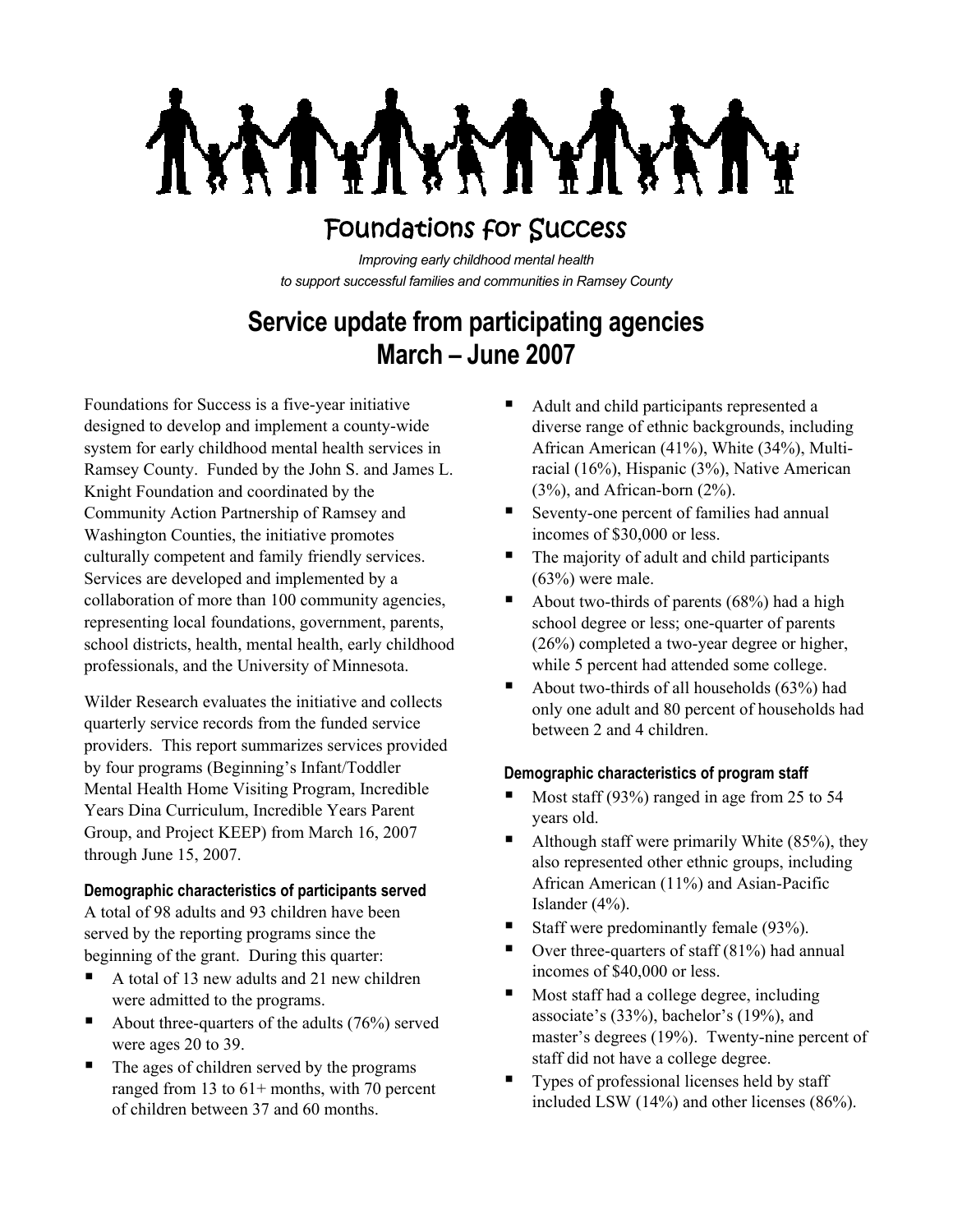# Foundations for Success

*Improving early childhood mental health to support successful families and communities in Ramsey County*

# **Service update from participating agencies March – June 2007**

Foundations for Success is a five-year initiative designed to develop and implement a county-wide system for early childhood mental health services in Ramsey County. Funded by the John S. and James L. Knight Foundation and coordinated by the Community Action Partnership of Ramsey and Washington Counties, the initiative promotes culturally competent and family friendly services. Services are developed and implemented by a collaboration of more than 100 community agencies, representing local foundations, government, parents, school districts, health, mental health, early childhood professionals, and the University of Minnesota.

Wilder Research evaluates the initiative and collects quarterly service records from the funded service providers. This report summarizes services provided by four programs (Beginning's Infant/Toddler Mental Health Home Visiting Program, Incredible Years Dina Curriculum, Incredible Years Parent Group, and Project KEEP) from March 16, 2007 through June 15, 2007.

# **Demographic characteristics of participants served**

A total of 98 adults and 93 children have been served by the reporting programs since the beginning of the grant. During this quarter:

- A total of 13 new adults and 21 new children were admitted to the programs.
- About three-quarters of the adults  $(76%)$  served were ages 20 to 39.
- The ages of children served by the programs ranged from 13 to 61+ months, with 70 percent of children between 37 and 60 months.
- Adult and child participants represented a diverse range of ethnic backgrounds, including African American (41%), White (34%), Multiracial (16%), Hispanic (3%), Native American (3%), and African-born (2%).
- Seventy-one percent of families had annual incomes of \$30,000 or less.
- The majority of adult and child participants  $(63%)$  were male.
- About two-thirds of parents  $(68%)$  had a high school degree or less; one-quarter of parents (26%) completed a two-year degree or higher, while 5 percent had attended some college.
- About two-thirds of all households (63%) had only one adult and 80 percent of households had between 2 and 4 children.

# **Demographic characteristics of program staff**

- Most staff (93%) ranged in age from 25 to 54 years old.
- Although staff were primarily White (85%), they also represented other ethnic groups, including African American (11%) and Asian-Pacific Islander (4%).
- Staff were predominantly female  $(93\%)$ .
- $\blacksquare$  Over three-quarters of staff (81%) had annual incomes of \$40,000 or less.
- Most staff had a college degree, including associate's (33%), bachelor's (19%), and master's degrees (19%). Twenty-nine percent of staff did not have a college degree.
- Types of professional licenses held by staff included LSW (14%) and other licenses (86%).